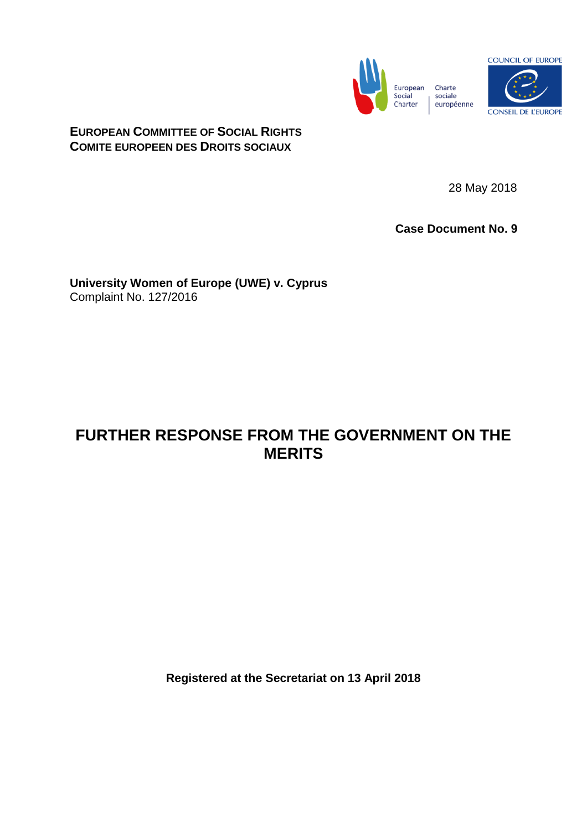



**EUROPEAN COMMITTEE OF SOCIAL RIGHTS COMITE EUROPEEN DES DROITS SOCIAUX**

28 May 2018

**Case Document No. 9**

**University Women of Europe (UWE) v. Cyprus** Complaint No. 127/2016

# **FURTHER RESPONSE FROM THE GOVERNMENT ON THE MERITS**

**Registered at the Secretariat on 13 April 2018**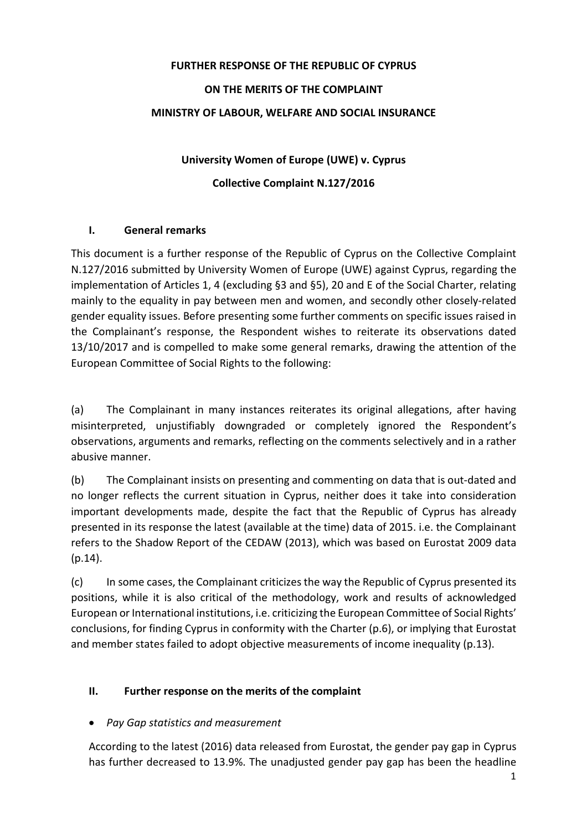# **FURTHER RESPONSE OF THE REPUBLIC OF CYPRUS ON THE MERITS OF THE COMPLAINT MINISTRY OF LABOUR, WELFARE AND SOCIAL INSURANCE**

# **University Women of Europe (UWE) v. Cyprus Collective Complaint N.127/2016**

### **I. General remarks**

This document is a further response of the Republic of Cyprus on the Collective Complaint N.127/2016 submitted by University Women of Europe (UWE) against Cyprus, regarding the implementation of Articles 1, 4 (excluding §3 and §5), 20 and E of the Social Charter, relating mainly to the equality in pay between men and women, and secondly other closely-related gender equality issues. Before presenting some further comments on specific issues raised in the Complainant's response, the Respondent wishes to reiterate its observations dated 13/10/2017 and is compelled to make some general remarks, drawing the attention of the European Committee of Social Rights to the following:

(a) The Complainant in many instances reiterates its original allegations, after having misinterpreted, unjustifiably downgraded or completely ignored the Respondent's observations, arguments and remarks, reflecting on the comments selectively and in a rather abusive manner.

(b) The Complainant insists on presenting and commenting on data that is out-dated and no longer reflects the current situation in Cyprus, neither does it take into consideration important developments made, despite the fact that the Republic of Cyprus has already presented in its response the latest (available at the time) data of 2015. i.e. the Complainant refers to the Shadow Report of the CEDAW (2013), which was based on Eurostat 2009 data (p.14).

(c) In some cases, the Complainant criticizes the way the Republic of Cyprus presented its positions, while it is also critical of the methodology, work and results of acknowledged European or International institutions, i.e. criticizing the European Committee of Social Rights' conclusions, for finding Cyprus in conformity with the Charter (p.6), or implying that Eurostat and member states failed to adopt objective measurements of income inequality (p.13).

## **II. Further response on the merits of the complaint**

## • *Pay Gap statistics and measurement*

According to the latest (2016) data released from Eurostat, the gender pay gap in Cyprus has further decreased to 13.9%. The unadjusted gender pay gap has been the headline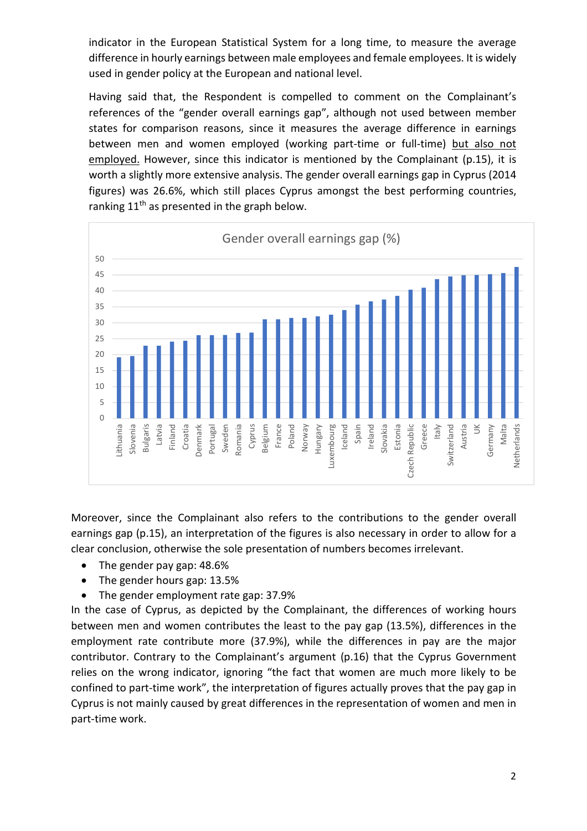indicator in the European Statistical System for a long time, to measure the average difference in hourly earnings between male employees and female employees. It is widely used in gender policy at the European and national level.

Having said that, the Respondent is compelled to comment on the Complainant's references of the "gender overall earnings gap", although not used between member states for comparison reasons, since it measures the average difference in earnings between men and women employed (working part-time or full-time) but also not employed. However, since this indicator is mentioned by the Complainant (p.15), it is worth a slightly more extensive analysis. The gender overall earnings gap in Cyprus (2014 figures) was 26.6%, which still places Cyprus amongst the best performing countries, ranking  $11<sup>th</sup>$  as presented in the graph below.



Moreover, since the Complainant also refers to the contributions to the gender overall earnings gap (p.15), an interpretation of the figures is also necessary in order to allow for a clear conclusion, otherwise the sole presentation of numbers becomes irrelevant.

- The gender pay gap: 48.6%
- The gender hours gap: 13.5%
- The gender employment rate gap: 37.9%

In the case of Cyprus, as depicted by the Complainant, the differences of working hours between men and women contributes the least to the pay gap (13.5%), differences in the employment rate contribute more (37.9%), while the differences in pay are the major contributor. Contrary to the Complainant's argument (p.16) that the Cyprus Government relies on the wrong indicator, ignoring "the fact that women are much more likely to be confined to part-time work", the interpretation of figures actually proves that the pay gap in Cyprus is not mainly caused by great differences in the representation of women and men in part-time work.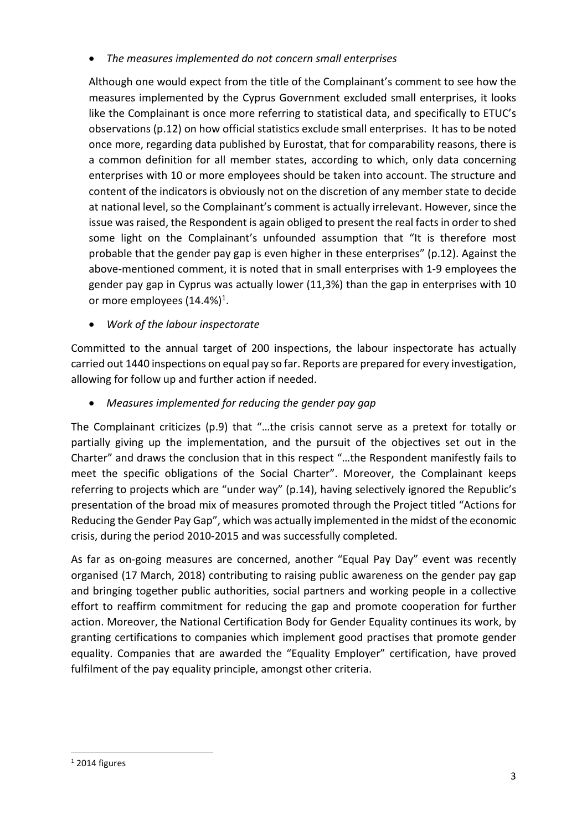• *The measures implemented do not concern small enterprises*

Although one would expect from the title of the Complainant's comment to see how the measures implemented by the Cyprus Government excluded small enterprises, it looks like the Complainant is once more referring to statistical data, and specifically to ETUC's observations (p.12) on how official statistics exclude small enterprises. It has to be noted once more, regarding data published by Eurostat, that for comparability reasons, there is a common definition for all member states, according to which, only data concerning enterprises with 10 or more employees should be taken into account. The structure and content of the indicators is obviously not on the discretion of any member state to decide at national level, so the Complainant's comment is actually irrelevant. However, since the issue was raised, the Respondent is again obliged to present the real facts in order to shed some light on the Complainant's unfounded assumption that "It is therefore most probable that the gender pay gap is even higher in these enterprises" (p.12). Against the above-mentioned comment, it is noted that in small enterprises with 1-9 employees the gender pay gap in Cyprus was actually lower (11,3%) than the gap in enterprises with 10 or more employees (14.4%)<sup>1</sup>.

• *Work of the labour inspectorate* 

Committed to the annual target of 200 inspections, the labour inspectorate has actually carried out 1440 inspections on equal pay so far. Reports are prepared for every investigation, allowing for follow up and further action if needed.

• *Measures implemented for reducing the gender pay gap* 

The Complainant criticizes (p.9) that "…the crisis cannot serve as a pretext for totally or partially giving up the implementation, and the pursuit of the objectives set out in the Charter" and draws the conclusion that in this respect "…the Respondent manifestly fails to meet the specific obligations of the Social Charter". Moreover, the Complainant keeps referring to projects which are "under way" (p.14), having selectively ignored the Republic's presentation of the broad mix of measures promoted through the Project titled "Actions for Reducing the Gender Pay Gap", which was actually implemented in the midst of the economic crisis, during the period 2010-2015 and was successfully completed.

As far as on-going measures are concerned, another "Equal Pay Day" event was recently organised (17 March, 2018) contributing to raising public awareness on the gender pay gap and bringing together public authorities, social partners and working people in a collective effort to reaffirm commitment for reducing the gap and promote cooperation for further action. Moreover, the National Certification Body for Gender Equality continues its work, by granting certifications to companies which implement good practises that promote gender equality. Companies that are awarded the "Equality Employer" certification, have proved fulfilment of the pay equality principle, amongst other criteria.

 $\overline{a}$ 

 $1$  2014 figures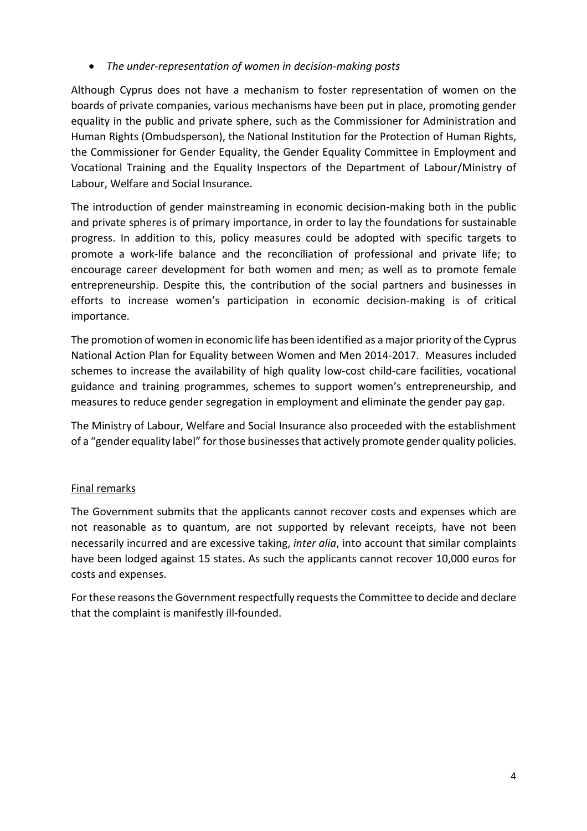### • *The under-representation of women in decision-making posts*

Although Cyprus does not have a mechanism to foster representation of women on the boards of private companies, various mechanisms have been put in place, promoting gender equality in the public and private sphere, such as the Commissioner for Administration and Human Rights (Ombudsperson), the National Institution for the Protection of Human Rights, the Commissioner for Gender Equality, the Gender Equality Committee in Employment and Vocational Training and the Equality Inspectors of the Department of Labour/Ministry of Labour, Welfare and Social Insurance.

The introduction of gender mainstreaming in economic decision-making both in the public and private spheres is of primary importance, in order to lay the foundations for sustainable progress. In addition to this, policy measures could be adopted with specific targets to promote a work-life balance and the reconciliation of professional and private life; to encourage career development for both women and men; as well as to promote female entrepreneurship. Despite this, the contribution of the social partners and businesses in efforts to increase women's participation in economic decision-making is of critical importance.

The promotion of women in economic life has been identified as a major priority of the Cyprus National Action Plan for Equality between Women and Men 2014-2017. Measures included schemes to increase the availability of high quality low-cost child-care facilities, vocational guidance and training programmes, schemes to support women's entrepreneurship, and measures to reduce gender segregation in employment and eliminate the gender pay gap.

The Ministry of Labour, Welfare and Social Insurance also proceeded with the establishment of a "gender equality label" for those businesses that actively promote gender quality policies.

### Final remarks

The Government submits that the applicants cannot recover costs and expenses which are not reasonable as to quantum, are not supported by relevant receipts, have not been necessarily incurred and are excessive taking, *inter alia*, into account that similar complaints have been lodged against 15 states. As such the applicants cannot recover 10,000 euros for costs and expenses.

For these reasons the Government respectfully requests the Committee to decide and declare that the complaint is manifestly ill-founded.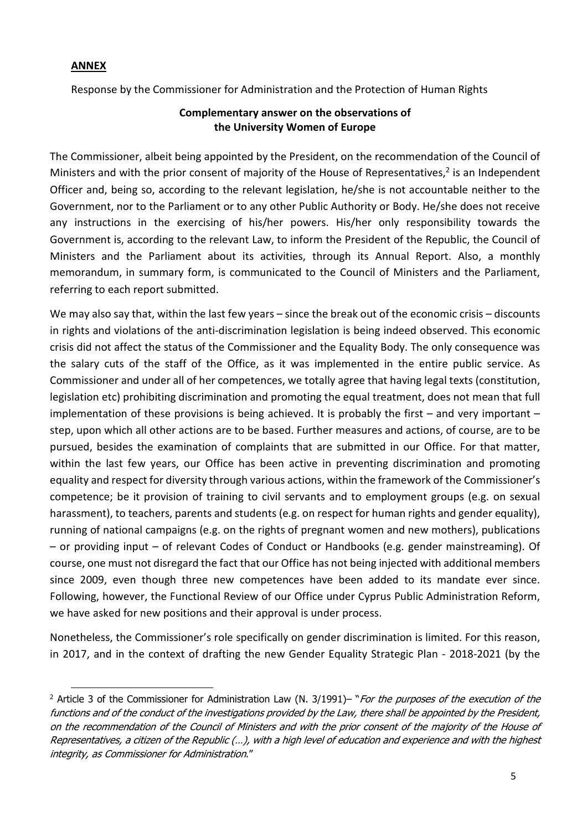#### **ANNEX**

 $\overline{a}$ 

Respοnse by the Commissioner for Administration and the Protection of Human Rights

#### **Complementary answer on the observations of the University Women of Europe**

The Commissioner, albeit being appointed by the President, on the recommendation of the Council of Ministers and with the prior consent of majority of the House of Representatives, $2$  is an Independent Officer and, being so, according to the relevant legislation, he/she is not accountable neither to the Government, nor to the Parliament or to any other Public Authority or Body. He/she does not receive any instructions in the exercising of his/her powers. His/her only responsibility towards the Government is, according to the relevant Law, to inform the President of the Republic, the Council of Ministers and the Parliament about its activities, through its Annual Report. Also, a monthly memorandum, in summary form, is communicated to the Council of Ministers and the Parliament, referring to each report submitted.

We may also say that, within the last few years – since the break out of the economic crisis – discounts in rights and violations of the anti-discrimination legislation is being indeed observed. This economic crisis did not affect the status of the Commissioner and the Equality Body. The only consequence was the salary cuts of the staff of the Office, as it was implemented in the entire public service. As Commissioner and under all of her competences, we totally agree that having legal texts (constitution, legislation etc) prohibiting discrimination and promoting the equal treatment, does not mean that full implementation of these provisions is being achieved. It is probably the first – and very important – step, upon which all other actions are to be based. Further measures and actions, of course, are to be pursued, besides the examination of complaints that are submitted in our Office. For that matter, within the last few years, our Office has been active in preventing discrimination and promoting equality and respect for diversity through various actions, within the framework of the Commissioner's competence; be it provision of training to civil servants and to employment groups (e.g. on sexual harassment), to teachers, parents and students (e.g. on respect for human rights and gender equality), running of national campaigns (e.g. on the rights of pregnant women and new mothers), publications – or providing input – of relevant Codes of Conduct or Handbooks (e.g. gender mainstreaming). Of course, one must not disregard the fact that our Office has not being injected with additional members since 2009, even though three new competences have been added to its mandate ever since. Following, however, the Functional Review of our Office under Cyprus Public Administration Reform, we have asked for new positions and their approval is under process.

Nonetheless, the Commissioner's role specifically on gender discrimination is limited. For this reason, in 2017, and in the context of drafting the new Gender Equality Strategic Plan - 2018-2021 (by the

<sup>&</sup>lt;sup>2</sup> Article 3 of the Commissioner for Administration Law (N. 3/1991)– "*For the purposes of the execution of the* functions and of the conduct of the investigations provided by the Law, there shall be appointed by the President, on the recommendation of the Council of Ministers and with the prior consent of the majority of the House of Representatives, a citizen of the Republic (…), with a high level of education and experience and with the highest integrity, as Commissioner for Administration."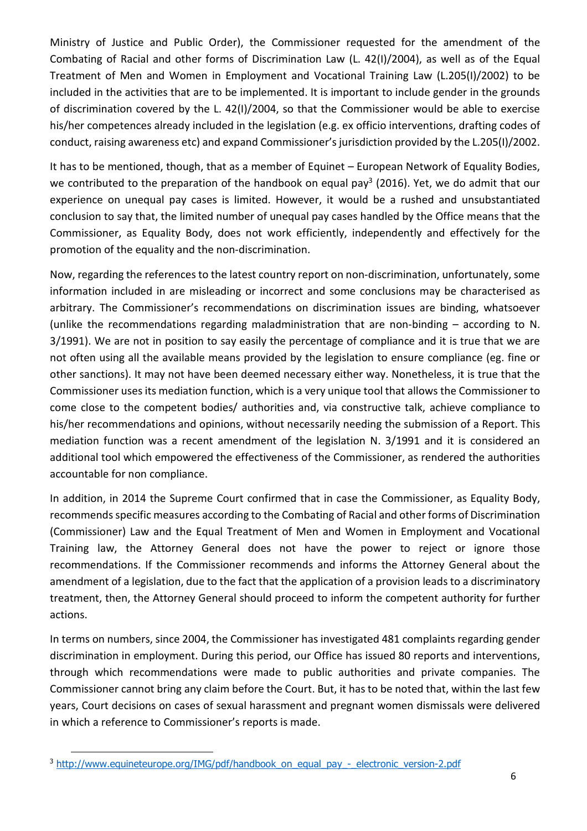Ministry of Justice and Public Order), the Commissioner requested for the amendment of the Combating of Racial and other forms of Discrimination Law (L. 42(I)/2004), as well as of the Equal Treatment of Men and Women in Employment and Vocational Training Law (L.205(I)/2002) to be included in the activities that are to be implemented. It is important to include gender in the grounds of discrimination covered by the L. 42(I)/2004, so that the Commissioner would be able to exercise his/her competences already included in the legislation (e.g. ex officio interventions, drafting codes of conduct, raising awareness etc) and expand Commissioner's jurisdiction provided by the L.205(I)/2002.

It has to be mentioned, though, that as a member of Equinet – European Network of Equality Bodies, we contributed to the preparation of the handbook on equal pay<sup>3</sup> (2016). Yet, we do admit that our experience on unequal pay cases is limited. However, it would be a rushed and unsubstantiated conclusion to say that, the limited number of unequal pay cases handled by the Office means that the Commissioner, as Equality Body, does not work efficiently, independently and effectively for the promotion of the equality and the non-discrimination.

Now, regarding the references to the latest country report on non-discrimination, unfortunately, some information included in are misleading or incorrect and some conclusions may be characterised as arbitrary. The Commissioner's recommendations on discrimination issues are binding, whatsoever (unlike the recommendations regarding maladministration that are non-binding – according to N. 3/1991). We are not in position to say easily the percentage of compliance and it is true that we are not often using all the available means provided by the legislation to ensure compliance (eg. fine or other sanctions). It may not have been deemed necessary either way. Nonetheless, it is true that the Commissioner uses its mediation function, which is a very unique tool that allows the Commissioner to come close to the competent bodies/ authorities and, via constructive talk, achieve compliance to his/her recommendations and opinions, without necessarily needing the submission of a Report. This mediation function was a recent amendment of the legislation N. 3/1991 and it is considered an additional tool which empowered the effectiveness of the Commissioner, as rendered the authorities accountable for non compliance.

In addition, in 2014 the Supreme Court confirmed that in case the Commissioner, as Equality Body, recommends specific measures according to the Combating of Racial and other forms of Discrimination (Commissioner) Law and the Equal Treatment of Men and Women in Employment and Vocational Training law, the Attorney General does not have the power to reject or ignore those recommendations. If the Commissioner recommends and informs the Attorney General about the amendment of a legislation, due to the fact that the application of a provision leads to a discriminatory treatment, then, the Attorney General should proceed to inform the competent authority for further actions.

In terms on numbers, since 2004, the Commissioner has investigated 481 complaints regarding gender discrimination in employment. During this period, our Office has issued 80 reports and interventions, through which recommendations were made to public authorities and private companies. The Commissioner cannot bring any claim before the Court. But, it has to be noted that, within the last few years, Court decisions on cases of sexual harassment and pregnant women dismissals were delivered in which a reference to Commissioner's reports is made.

l

<sup>&</sup>lt;sup>3</sup> http://www.equineteurope.org/IMG/pdf/handbook\_on\_equal\_pay\_-\_electronic\_version-2.pdf